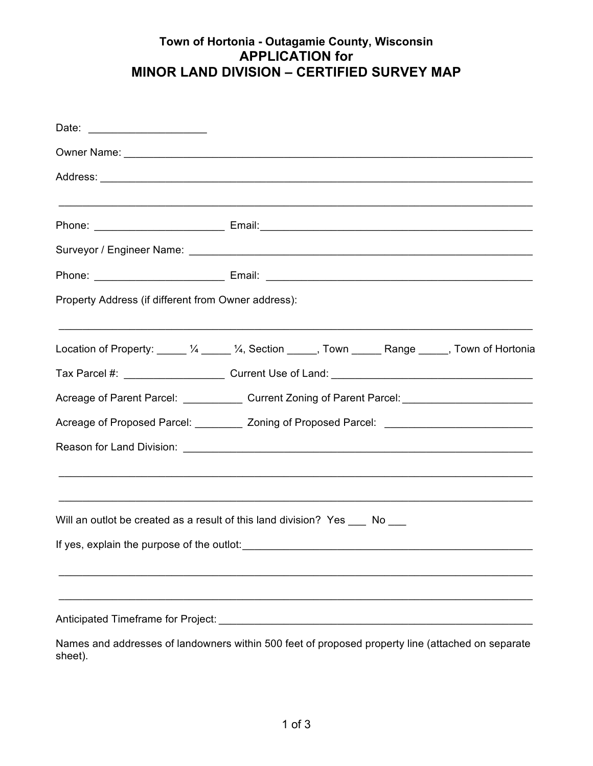## **Town of Hortonia - Outagamie County, Wisconsin APPLICATION for MINOR LAND DIVISION – CERTIFIED SURVEY MAP**

| Property Address (if different from Owner address): |                                                                                                      |
|-----------------------------------------------------|------------------------------------------------------------------------------------------------------|
|                                                     | Location of Property: _____ 1/4 _____ 1/4, Section _____, Town ______ Range _____, Town of Hortonia  |
|                                                     |                                                                                                      |
|                                                     | Acreage of Parent Parcel: Current Zoning of Parent Parcel: Current Parcel 2011                       |
|                                                     | Acreage of Proposed Parcel: __________ Zoning of Proposed Parcel: __________________________________ |
|                                                     |                                                                                                      |
|                                                     | Will an outlot be created as a result of this land division? Yes ___ No ___                          |
| If yes, explain the purpose of the outlot:          |                                                                                                      |
|                                                     |                                                                                                      |
|                                                     |                                                                                                      |

Names and addresses of landowners within 500 feet of proposed property line (attached on separate sheet).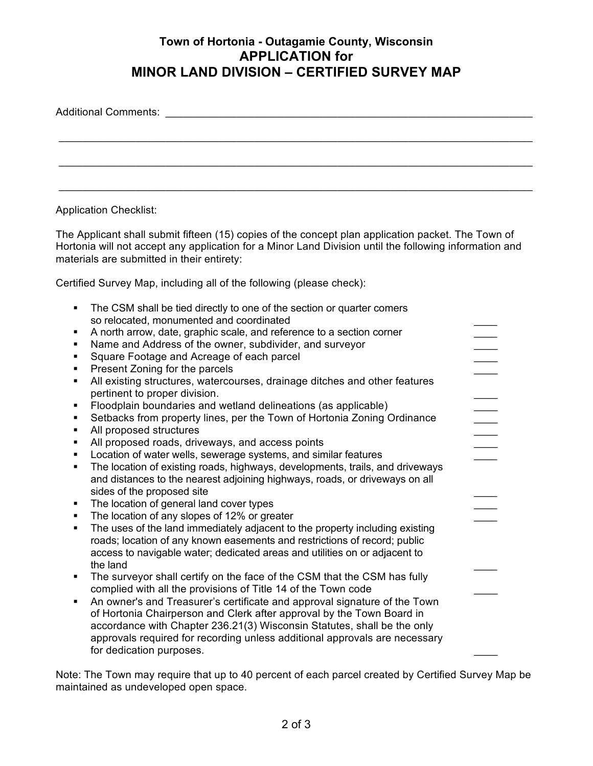## **Town of Hortonia - Outagamie County, Wisconsin APPLICATION for MINOR LAND DIVISION – CERTIFIED SURVEY MAP**

| Additional Comments: Additional Comments: |  |  |  |
|-------------------------------------------|--|--|--|
|                                           |  |  |  |
|                                           |  |  |  |
|                                           |  |  |  |

Application Checklist:

The Applicant shall submit fifteen (15) copies of the concept plan application packet. The Town of Hortonia will not accept any application for a Minor Land Division until the following information and materials are submitted in their entirety:

Certified Survey Map, including all of the following (please check):

| $\blacksquare$ | The CSM shall be tied directly to one of the section or quarter comers        |  |
|----------------|-------------------------------------------------------------------------------|--|
|                | so relocated, monumented and coordinated                                      |  |
| ٠              | A north arrow, date, graphic scale, and reference to a section corner         |  |
| $\blacksquare$ | Name and Address of the owner, subdivider, and surveyor                       |  |
| ٠              | Square Footage and Acreage of each parcel                                     |  |
| ٠              | Present Zoning for the parcels                                                |  |
| ٠              | All existing structures, watercourses, drainage ditches and other features    |  |
|                | pertinent to proper division.                                                 |  |
| ٠              | Floodplain boundaries and wetland delineations (as applicable)                |  |
| ٠              | Setbacks from property lines, per the Town of Hortonia Zoning Ordinance       |  |
| ٠              | All proposed structures                                                       |  |
| ٠              | All proposed roads, driveways, and access points                              |  |
| ٠              | Location of water wells, sewerage systems, and similar features               |  |
| ٠              | The location of existing roads, highways, developments, trails, and driveways |  |
|                | and distances to the nearest adjoining highways, roads, or driveways on all   |  |
|                | sides of the proposed site                                                    |  |
| ٠              | The location of general land cover types                                      |  |
| ٠              | The location of any slopes of 12% or greater                                  |  |
| ٠              | The uses of the land immediately adjacent to the property including existing  |  |
|                | roads; location of any known easements and restrictions of record; public     |  |
|                | access to navigable water; dedicated areas and utilities on or adjacent to    |  |
|                | the land                                                                      |  |
| $\blacksquare$ | The surveyor shall certify on the face of the CSM that the CSM has fully      |  |
|                | complied with all the provisions of Title 14 of the Town code                 |  |
| ٠              | An owner's and Treasurer's certificate and approval signature of the Town     |  |
|                | of Hortonia Chairperson and Clerk after approval by the Town Board in         |  |
|                | accordance with Chapter 236.21(3) Wisconsin Statutes, shall be the only       |  |
|                | approvals required for recording unless additional approvals are necessary    |  |
|                | for dedication purposes.                                                      |  |
|                |                                                                               |  |

Note: The Town may require that up to 40 percent of each parcel created by Certified Survey Map be maintained as undeveloped open space.